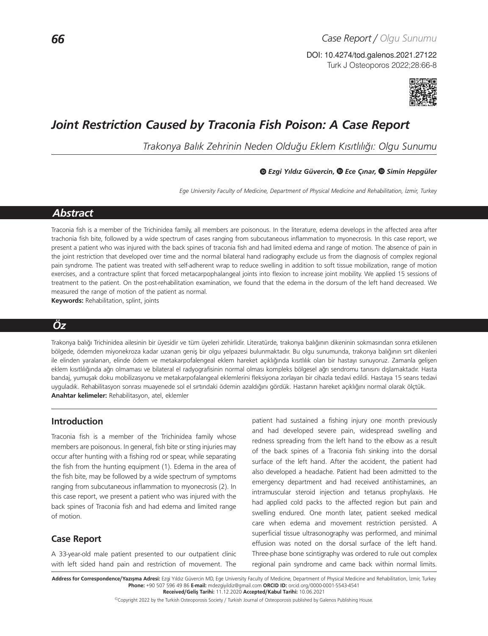Turk J Osteoporos 2022;28:66-8 DOI: 10.4274/tod.galenos.2021.27122



# *Joint Restriction Caused by Traconia Fish Poison: A Case Report*

*Trakonya Balık Zehrinin Neden Olduğu Eklem Kısıtlılığı: Olgu Sunumu*

#### *Ezgi Yıldız Güvercin,Ece Çınar,Simin Hepgüler*

*Ege University Faculty of Medicine, Department of Physical Medicine and Rehabilitation, İzmir, Turkey*

## *Abstract*

Traconia fish is a member of the Trichinidea family, all members are poisonous. In the literature, edema develops in the affected area after trachonia fish bite, followed by a wide spectrum of cases ranging from subcutaneous inflammation to myonecrosis. In this case report, we present a patient who was injured with the back spines of traconia fish and had limited edema and range of motion. The absence of pain in the joint restriction that developed over time and the normal bilateral hand radiography exclude us from the diagnosis of complex regional pain syndrome. The patient was treated with self-adherent wrap to reduce swelling in addition to soft tissue mobilization, range of motion exercises, and a contracture splint that forced metacarpophalangeal joints into flexion to increase joint mobility. We applied 15 sessions of treatment to the patient. On the post-rehabilitation examination, we found that the edema in the dorsum of the left hand decreased. We measured the range of motion of the patient as normal.

**Keywords:** Rehabilitation, splint, joints

# *Öz*

Trakonya balığı Trichinidea ailesinin bir üyesidir ve tüm üyeleri zehirlidir. Literatürde, trakonya balığının dikeninin sokmasından sonra etkilenen bölgede, ödemden miyonekroza kadar uzanan geniş bir olgu yelpazesi bulunmaktadır. Bu olgu sunumunda, trakonya balığının sırt dikenleri ile elinden yaralanan, elinde ödem ve metakarpofalengeal eklem hareket açıklığında kısıtlılık olan bir hastayı sunuyoruz. Zamanla gelişen eklem kısıtlılığında ağrı olmaması ve bilateral el radyografisinin normal olması kompleks bölgesel ağrı sendromu tanısını dışlamaktadır. Hasta bandaj, yumuşak doku mobilizasyonu ve metakarpofalangeal eklemlerini fleksiyona zorlayan bir cihazla tedavi edildi. Hastaya 15 seans tedavi uyguladık. Rehabilitasyon sonrası muayenede sol el sırtındaki ödemin azaldığını gördük. Hastanın hareket açıklığını normal olarak ölçtük. **Anahtar kelimeler:** Rehabilitasyon, atel, eklemler

### **Introduction**

Traconia fish is a member of the Trichinidea family whose members are poisonous. In general, fish bite or sting injuries may occur after hunting with a fishing rod or spear, while separating the fish from the hunting equipment (1). Edema in the area of the fish bite, may be followed by a wide spectrum of symptoms ranging from subcutaneous inflammation to myonecrosis (2). In this case report, we present a patient who was injured with the back spines of Traconia fish and had edema and limited range of motion.

## **Case Report**

A 33-year-old male patient presented to our outpatient clinic with left sided hand pain and restriction of movement. The patient had sustained a fishing injury one month previously and had developed severe pain, widespread swelling and redness spreading from the left hand to the elbow as a result of the back spines of a Traconia fish sinking into the dorsal surface of the left hand. After the accident, the patient had also developed a headache. Patient had been admitted to the emergency department and had received antihistamines, an intramuscular steroid injection and tetanus prophylaxis. He had applied cold packs to the affected region but pain and swelling endured. One month later, patient seeked medical care when edema and movement restriction persisted. A superficial tissue ultrasonography was performed, and minimal effusion was noted on the dorsal surface of the left hand. Three-phase bone scintigraphy was ordered to rule out complex regional pain syndrome and came back within normal limits.

Address for Correspondence/Yazışma Adresi: Ezgi Yıldız Güvercin MD, Ege University Faculty of Medicine, Department of Physical Medicine and Rehabilitation, İzmir, Turkey **Phone:** +90 507 596 49 86 **E-mail:** mdezgiyildiz@gmail.com **ORCID ID:** orcid.org/0000-0001-5543-4541 **Received/Geliş Tarihi:** 11.12.2020 **Accepted/Kabul Tarihi:** 10.06.2021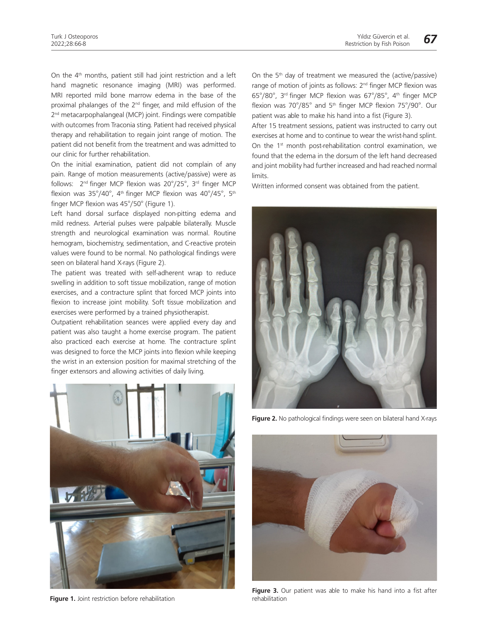On the 4<sup>th</sup> months, patient still had joint restriction and a left hand magnetic resonance imaging (MRI) was performed. MRI reported mild bone marrow edema in the base of the proximal phalanges of the 2nd finger, and mild effusion of the 2<sup>nd</sup> metacarpophalangeal (MCP) joint. Findings were compatible with outcomes from Traconia sting. Patient had received physical therapy and rehabilitation to regain joint range of motion. The patient did not benefit from the treatment and was admitted to our clinic for further rehabilitation.

On the initial examination, patient did not complain of any pain. Range of motion measurements (active/passive) were as follows: 2nd finger MCP flexion was 20°/25°, 3rd finger MCP flexion was 35°/40°, 4<sup>th</sup> finger MCP flexion was 40°/45°, 5<sup>th</sup> finger MCP flexion was 45°/50° (Figure 1).

Left hand dorsal surface displayed non-pitting edema and mild redness. Arterial pulses were palpable bilaterally. Muscle strength and neurological examination was normal. Routine hemogram, biochemistry, sedimentation, and C-reactive protein values were found to be normal. No pathological findings were seen on bilateral hand X-rays (Figure 2).

The patient was treated with self-adherent wrap to reduce swelling in addition to soft tissue mobilization, range of motion exercises, and a contracture splint that forced MCP joints into flexion to increase joint mobility. Soft tissue mobilization and exercises were performed by a trained physiotherapist.

Outpatient rehabilitation seances were applied every day and patient was also taught a home exercise program. The patient also practiced each exercise at home. The contracture splint was designed to force the MCP joints into flexion while keeping the wrist in an extension position for maximal stretching of the finger extensors and allowing activities of daily living.



**Figure 1.** Joint restriction before rehabilitation

On the  $5<sup>th</sup>$  day of treatment we measured the (active/passive) range of motion of joints as follows: 2<sup>nd</sup> finger MCP flexion was 65°/80°, 3rd finger MCP flexion was 67°/85°, 4th finger MCP flexion was 70°/85° and 5th finger MCP flexion 75°/90°. Our patient was able to make his hand into a fist (Figure 3).

After 15 treatment sessions, patient was instructed to carry out exercises at home and to continue to wear the wrist-hand splint. On the 1<sup>st</sup> month post-rehabilitation control examination, we found that the edema in the dorsum of the left hand decreased and joint mobility had further increased and had reached normal limits.

Written informed consent was obtained from the patient.



**Figure 2.** No pathological findings were seen on bilateral hand X-rays



**Figure 3.** Our patient was able to make his hand into a fist after rehabilitation